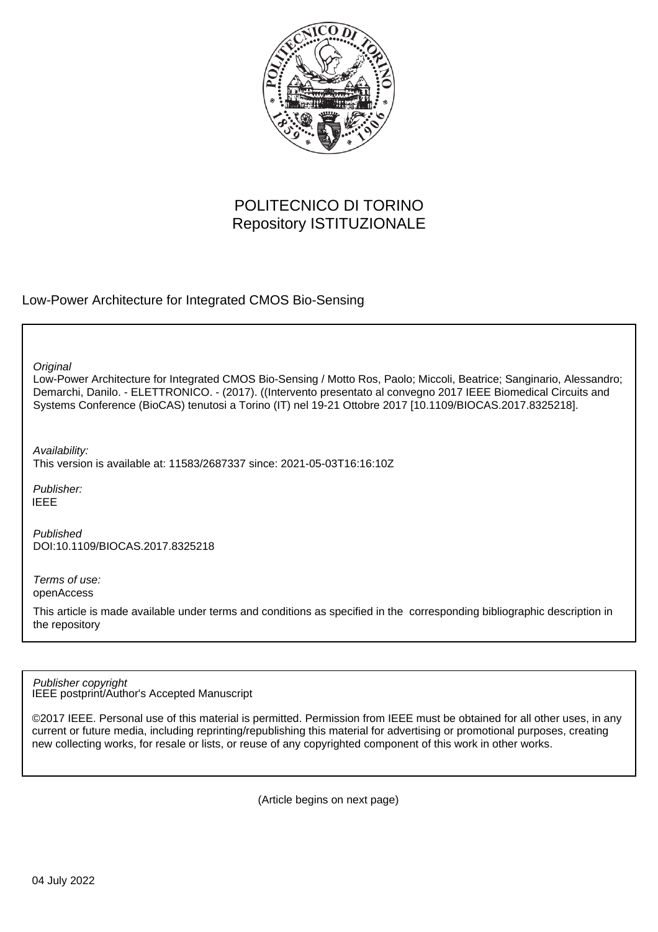

# POLITECNICO DI TORINO Repository ISTITUZIONALE

Low-Power Architecture for Integrated CMOS Bio-Sensing

**Original** 

Low-Power Architecture for Integrated CMOS Bio-Sensing / Motto Ros, Paolo; Miccoli, Beatrice; Sanginario, Alessandro; Demarchi, Danilo. - ELETTRONICO. - (2017). ((Intervento presentato al convegno 2017 IEEE Biomedical Circuits and Systems Conference (BioCAS) tenutosi a Torino (IT) nel 19-21 Ottobre 2017 [10.1109/BIOCAS.2017.8325218].

Availability:

This version is available at: 11583/2687337 since: 2021-05-03T16:16:10Z

Publisher: IEEE

Published DOI:10.1109/BIOCAS.2017.8325218

Terms of use: openAccess

This article is made available under terms and conditions as specified in the corresponding bibliographic description in the repository

IEEE postprint/Author's Accepted Manuscript Publisher copyright

©2017 IEEE. Personal use of this material is permitted. Permission from IEEE must be obtained for all other uses, in any current or future media, including reprinting/republishing this material for advertising or promotional purposes, creating new collecting works, for resale or lists, or reuse of any copyrighted component of this work in other works.

(Article begins on next page)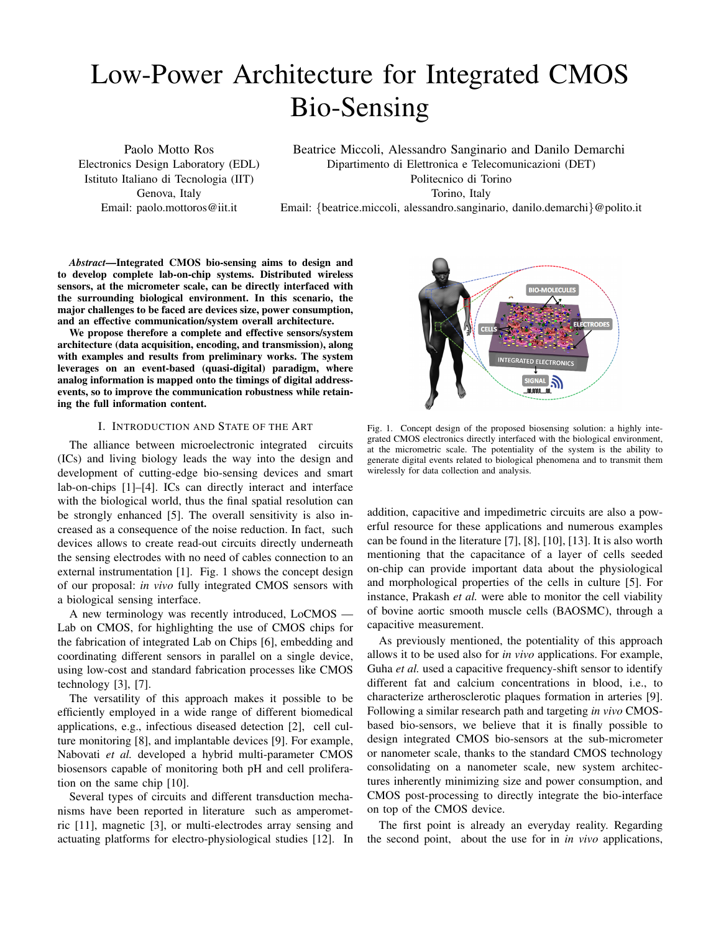# Low-Power Architecture for Integrated CMOS Bio-Sensing

Paolo Motto Ros Electronics Design Laboratory (EDL) Istituto Italiano di Tecnologia (IIT) Genova, Italy Email: paolo.mottoros@iit.it

Beatrice Miccoli, Alessandro Sanginario and Danilo Demarchi Dipartimento di Elettronica e Telecomunicazioni (DET) Politecnico di Torino Torino, Italy

Email: {beatrice.miccoli, alessandro.sanginario, danilo.demarchi}@polito.it

*Abstract*—Integrated CMOS bio-sensing aims to design and to develop complete lab-on-chip systems. Distributed wireless sensors, at the micrometer scale, can be directly interfaced with the surrounding biological environment. In this scenario, the major challenges to be faced are devices size, power consumption, and an effective communication/system overall architecture.

We propose therefore a complete and effective sensors/system architecture (data acquisition, encoding, and transmission), along with examples and results from preliminary works. The system leverages on an event-based (quasi-digital) paradigm, where analog information is mapped onto the timings of digital addressevents, so to improve the communication robustness while retaining the full information content.

## I. INTRODUCTION AND STATE OF THE ART

The alliance between microelectronic integrated circuits (ICs) and living biology leads the way into the design and development of cutting-edge bio-sensing devices and smart lab-on-chips [1]–[4]. ICs can directly interact and interface with the biological world, thus the final spatial resolution can be strongly enhanced [5]. The overall sensitivity is also increased as a consequence of the noise reduction. In fact, such devices allows to create read-out circuits directly underneath the sensing electrodes with no need of cables connection to an external instrumentation [1]. Fig. 1 shows the concept design of our proposal: *in vivo* fully integrated CMOS sensors with a biological sensing interface.

A new terminology was recently introduced, LoCMOS — Lab on CMOS, for highlighting the use of CMOS chips for the fabrication of integrated Lab on Chips [6], embedding and coordinating different sensors in parallel on a single device, using low-cost and standard fabrication processes like CMOS technology [3], [7].

The versatility of this approach makes it possible to be efficiently employed in a wide range of different biomedical applications, e.g., infectious diseased detection [2], cell culture monitoring [8], and implantable devices [9]. For example, Nabovati *et al.* developed a hybrid multi-parameter CMOS biosensors capable of monitoring both pH and cell proliferation on the same chip [10].

Several types of circuits and different transduction mechanisms have been reported in literature such as amperometric [11], magnetic [3], or multi-electrodes array sensing and actuating platforms for electro-physiological studies [12]. In



Fig. 1. Concept design of the proposed biosensing solution: a highly integrated CMOS electronics directly interfaced with the biological environment, at the micrometric scale. The potentiality of the system is the ability to generate digital events related to biological phenomena and to transmit them wirelessly for data collection and analysis.

addition, capacitive and impedimetric circuits are also a powerful resource for these applications and numerous examples can be found in the literature [7], [8], [10], [13]. It is also worth mentioning that the capacitance of a layer of cells seeded on-chip can provide important data about the physiological and morphological properties of the cells in culture [5]. For instance, Prakash *et al.* were able to monitor the cell viability of bovine aortic smooth muscle cells (BAOSMC), through a capacitive measurement.

As previously mentioned, the potentiality of this approach allows it to be used also for *in vivo* applications. For example, Guha *et al.* used a capacitive frequency-shift sensor to identify different fat and calcium concentrations in blood, i.e., to characterize artherosclerotic plaques formation in arteries [9]. Following a similar research path and targeting *in vivo* CMOSbased bio-sensors, we believe that it is finally possible to design integrated CMOS bio-sensors at the sub-micrometer or nanometer scale, thanks to the standard CMOS technology consolidating on a nanometer scale, new system architectures inherently minimizing size and power consumption, and CMOS post-processing to directly integrate the bio-interface on top of the CMOS device.

The first point is already an everyday reality. Regarding the second point, about the use for in *in vivo* applications,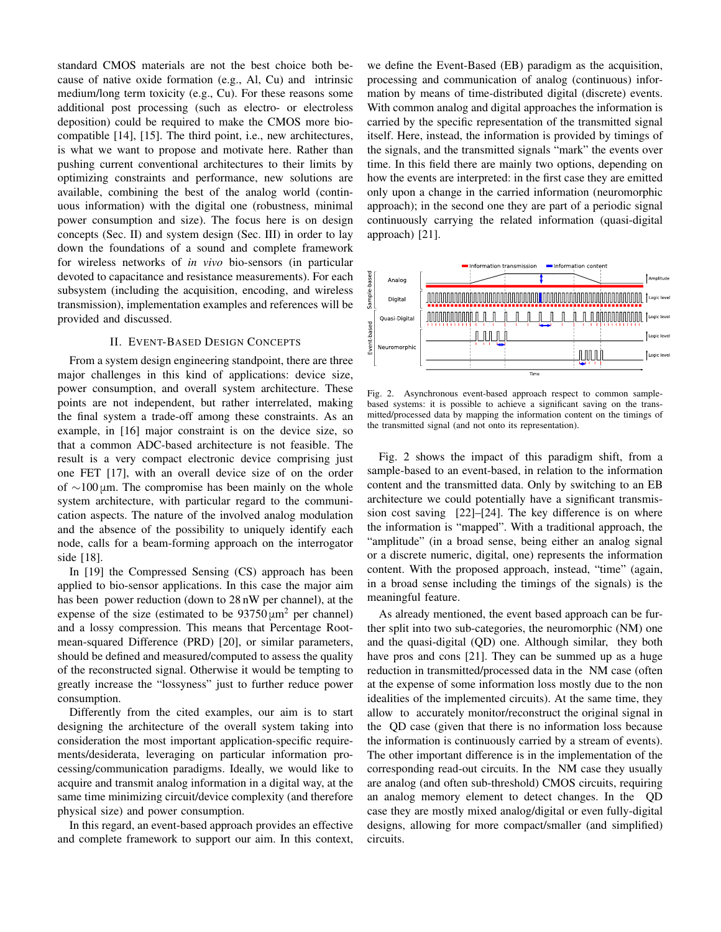standard CMOS materials are not the best choice both because of native oxide formation (e.g., Al, Cu) and intrinsic medium/long term toxicity (e.g., Cu). For these reasons some additional post processing (such as electro- or electroless deposition) could be required to make the CMOS more biocompatible [14], [15]. The third point, i.e., new architectures, is what we want to propose and motivate here. Rather than pushing current conventional architectures to their limits by optimizing constraints and performance, new solutions are available, combining the best of the analog world (continuous information) with the digital one (robustness, minimal power consumption and size). The focus here is on design concepts (Sec. II) and system design (Sec. III) in order to lay down the foundations of a sound and complete framework for wireless networks of *in vivo* bio-sensors (in particular devoted to capacitance and resistance measurements). For each subsystem (including the acquisition, encoding, and wireless transmission), implementation examples and references will be provided and discussed.

# II. EVENT-BASED DESIGN CONCEPTS

From a system design engineering standpoint, there are three major challenges in this kind of applications: device size, power consumption, and overall system architecture. These points are not independent, but rather interrelated, making the final system a trade-off among these constraints. As an example, in [16] major constraint is on the device size, so that a common ADC-based architecture is not feasible. The result is a very compact electronic device comprising just one FET [17], with an overall device size of on the order of ∼100 μm. The compromise has been mainly on the whole system architecture, with particular regard to the communication aspects. The nature of the involved analog modulation and the absence of the possibility to uniquely identify each node, calls for a beam-forming approach on the interrogator side [18].

In [19] the Compressed Sensing (CS) approach has been applied to bio-sensor applications. In this case the major aim has been power reduction (down to 28 nW per channel), at the expense of the size (estimated to be  $93750 \mu m^2$  per channel) and a lossy compression. This means that Percentage Rootmean-squared Difference (PRD) [20], or similar parameters, should be defined and measured/computed to assess the quality of the reconstructed signal. Otherwise it would be tempting to greatly increase the "lossyness" just to further reduce power consumption.

Differently from the cited examples, our aim is to start designing the architecture of the overall system taking into consideration the most important application-specific requirements/desiderata, leveraging on particular information processing/communication paradigms. Ideally, we would like to acquire and transmit analog information in a digital way, at the same time minimizing circuit/device complexity (and therefore physical size) and power consumption.

In this regard, an event-based approach provides an effective and complete framework to support our aim. In this context,

we define the Event-Based (EB) paradigm as the acquisition, processing and communication of analog (continuous) information by means of time-distributed digital (discrete) events. With common analog and digital approaches the information is carried by the specific representation of the transmitted signal itself. Here, instead, the information is provided by timings of the signals, and the transmitted signals "mark" the events over time. In this field there are mainly two options, depending on how the events are interpreted: in the first case they are emitted only upon a change in the carried information (neuromorphic approach); in the second one they are part of a periodic signal continuously carrying the related information (quasi-digital approach) [21].



Fig. 2. Asynchronous event-based approach respect to common samplebased systems: it is possible to achieve a significant saving on the transmitted/processed data by mapping the information content on the timings of the transmitted signal (and not onto its representation).

Fig. 2 shows the impact of this paradigm shift, from a sample-based to an event-based, in relation to the information content and the transmitted data. Only by switching to an EB architecture we could potentially have a significant transmission cost saving [22]–[24]. The key difference is on where the information is "mapped". With a traditional approach, the "amplitude" (in a broad sense, being either an analog signal or a discrete numeric, digital, one) represents the information content. With the proposed approach, instead, "time" (again, in a broad sense including the timings of the signals) is the meaningful feature.

As already mentioned, the event based approach can be further split into two sub-categories, the neuromorphic (NM) one and the quasi-digital (QD) one. Although similar, they both have pros and cons [21]. They can be summed up as a huge reduction in transmitted/processed data in the NM case (often at the expense of some information loss mostly due to the non idealities of the implemented circuits). At the same time, they allow to accurately monitor/reconstruct the original signal in the QD case (given that there is no information loss because the information is continuously carried by a stream of events). The other important difference is in the implementation of the corresponding read-out circuits. In the NM case they usually are analog (and often sub-threshold) CMOS circuits, requiring an analog memory element to detect changes. In the QD case they are mostly mixed analog/digital or even fully-digital designs, allowing for more compact/smaller (and simplified) circuits.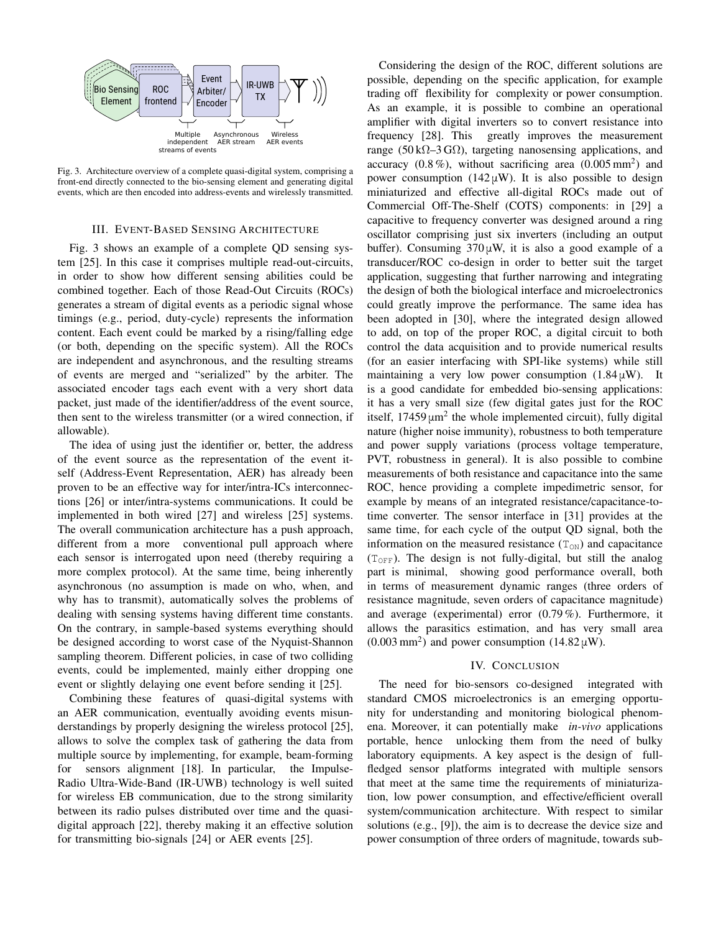

Fig. 3. Architecture overview of a complete quasi-digital system, comprising a front-end directly connected to the bio-sensing element and generating digital events, which are then encoded into address-events and wirelessly transmitted.

#### III. EVENT-BASED SENSING ARCHITECTURE

Fig. 3 shows an example of a complete QD sensing system [25]. In this case it comprises multiple read-out-circuits, in order to show how different sensing abilities could be combined together. Each of those Read-Out Circuits (ROCs) generates a stream of digital events as a periodic signal whose timings (e.g., period, duty-cycle) represents the information content. Each event could be marked by a rising/falling edge (or both, depending on the specific system). All the ROCs are independent and asynchronous, and the resulting streams of events are merged and "serialized" by the arbiter. The associated encoder tags each event with a very short data packet, just made of the identifier/address of the event source, then sent to the wireless transmitter (or a wired connection, if allowable).

The idea of using just the identifier or, better, the address of the event source as the representation of the event itself (Address-Event Representation, AER) has already been proven to be an effective way for inter/intra-ICs interconnections [26] or inter/intra-systems communications. It could be implemented in both wired [27] and wireless [25] systems. The overall communication architecture has a push approach, different from a more conventional pull approach where each sensor is interrogated upon need (thereby requiring a more complex protocol). At the same time, being inherently asynchronous (no assumption is made on who, when, and why has to transmit), automatically solves the problems of dealing with sensing systems having different time constants. On the contrary, in sample-based systems everything should be designed according to worst case of the Nyquist-Shannon sampling theorem. Different policies, in case of two colliding events, could be implemented, mainly either dropping one event or slightly delaying one event before sending it [25].

Combining these features of quasi-digital systems with an AER communication, eventually avoiding events misunderstandings by properly designing the wireless protocol [25], allows to solve the complex task of gathering the data from multiple source by implementing, for example, beam-forming for sensors alignment [18]. In particular, the Impulse-Radio Ultra-Wide-Band (IR-UWB) technology is well suited for wireless EB communication, due to the strong similarity between its radio pulses distributed over time and the quasidigital approach [22], thereby making it an effective solution for transmitting bio-signals [24] or AER events [25].

Considering the design of the ROC, different solutions are possible, depending on the specific application, for example trading off flexibility for complexity or power consumption. As an example, it is possible to combine an operational amplifier with digital inverters so to convert resistance into frequency [28]. This greatly improves the measurement range (50 k $\Omega$ –3 G $\Omega$ ), targeting nanosensing applications, and accuracy  $(0.8\%)$ , without sacrificing area  $(0.005\,\text{mm}^2)$  and power consumption (142  $\mu$ W). It is also possible to design miniaturized and effective all-digital ROCs made out of Commercial Off-The-Shelf (COTS) components: in [29] a capacitive to frequency converter was designed around a ring oscillator comprising just six inverters (including an output buffer). Consuming  $370 \mu W$ , it is also a good example of a transducer/ROC co-design in order to better suit the target application, suggesting that further narrowing and integrating the design of both the biological interface and microelectronics could greatly improve the performance. The same idea has been adopted in [30], where the integrated design allowed to add, on top of the proper ROC, a digital circuit to both control the data acquisition and to provide numerical results (for an easier interfacing with SPI-like systems) while still maintaining a very low power consumption  $(1.84 \,\mu\text{W})$ . It is a good candidate for embedded bio-sensing applications: it has a very small size (few digital gates just for the ROC itself,  $17459 \mu m^2$  the whole implemented circuit), fully digital nature (higher noise immunity), robustness to both temperature and power supply variations (process voltage temperature, PVT, robustness in general). It is also possible to combine measurements of both resistance and capacitance into the same ROC, hence providing a complete impedimetric sensor, for example by means of an integrated resistance/capacitance-totime converter. The sensor interface in [31] provides at the same time, for each cycle of the output QD signal, both the information on the measured resistance  $(T<sub>ON</sub>)$  and capacitance  $(T<sub>OFF</sub>)$ . The design is not fully-digital, but still the analog part is minimal, showing good performance overall, both in terms of measurement dynamic ranges (three orders of resistance magnitude, seven orders of capacitance magnitude) and average (experimental) error (0.79 %). Furthermore, it allows the parasitics estimation, and has very small area  $(0.003 \text{ mm}^2)$  and power consumption  $(14.82 \mu\text{W})$ .

### IV. CONCLUSION

The need for bio-sensors co-designed integrated with standard CMOS microelectronics is an emerging opportunity for understanding and monitoring biological phenomena. Moreover, it can potentially make *in-vivo* applications portable, hence unlocking them from the need of bulky laboratory equipments. A key aspect is the design of fullfledged sensor platforms integrated with multiple sensors that meet at the same time the requirements of miniaturization, low power consumption, and effective/efficient overall system/communication architecture. With respect to similar solutions (e.g., [9]), the aim is to decrease the device size and power consumption of three orders of magnitude, towards sub